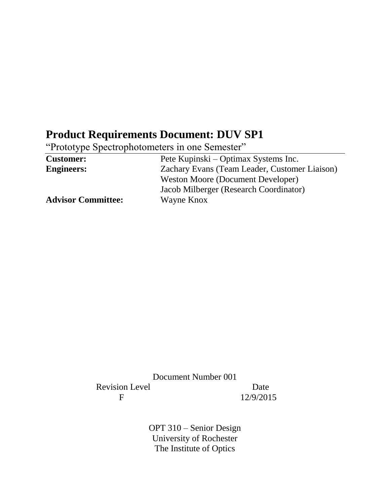# **Product Requirements Document: DUV SP1**

"Prototype Spectrophotometers in one Semester"

| <b>Customer:</b>          | Pete Kupinski – Optimax Systems Inc.          |
|---------------------------|-----------------------------------------------|
| <b>Engineers:</b>         | Zachary Evans (Team Leader, Customer Liaison) |
|                           | Weston Moore (Document Developer)             |
|                           | Jacob Milberger (Research Coordinator)        |
| <b>Advisor Committee:</b> | Wayne Knox                                    |

Document Number 001 Revision Level Date F 12/9/2015

> OPT 310 – Senior Design University of Rochester The Institute of Optics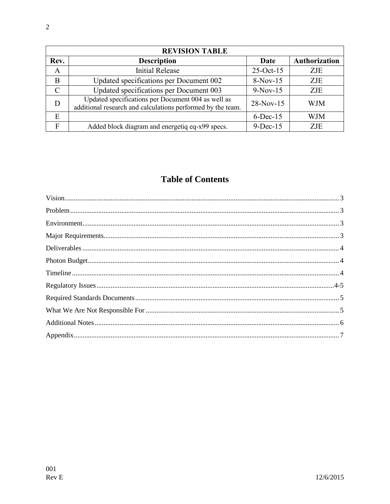| <b>REVISION TABLE</b> |                                                                                                                   |              |                      |
|-----------------------|-------------------------------------------------------------------------------------------------------------------|--------------|----------------------|
| Rev.                  | <b>Description</b>                                                                                                | Date         | <b>Authorization</b> |
| $\mathbf{A}$          | <b>Initial Release</b>                                                                                            | $25$ -Oct-15 | ZJE                  |
| B                     | Updated specifications per Document 002                                                                           | $8-Nov-15$   | <b>ZJE</b>           |
| $\mathcal{C}$         | Updated specifications per Document 003                                                                           | $9-Nov-15$   | <b>ZJE</b>           |
| D                     | Updated specifications per Document 004 as well as<br>additional research and calculations performed by the team. | $28-Nov-15$  | <b>WJM</b>           |
| E                     |                                                                                                                   | $6$ -Dec-15  | <b>WJM</b>           |
| F                     | Added block diagram and energetiq eq-x99 specs.                                                                   | $9-Dec-15$   | ZJE.                 |

## **Table of Contents**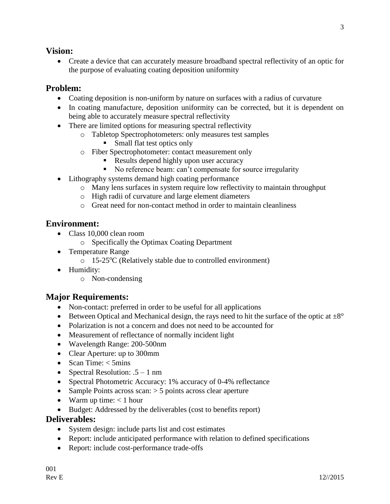#### **Vision:**

 Create a device that can accurately measure broadband spectral reflectivity of an optic for the purpose of evaluating coating deposition uniformity

#### **Problem:**

- Coating deposition is non-uniform by nature on surfaces with a radius of curvature
- In coating manufacture, deposition uniformity can be corrected, but it is dependent on being able to accurately measure spectral reflectivity
- There are limited options for measuring spectral reflectivity
	- o Tabletop Spectrophotometers: only measures test samples
		- **Small flat test optics only**
	- o Fiber Spectrophotometer: contact measurement only
		- Results depend highly upon user accuracy
		- No reference beam: can't compensate for source irregularity
- Lithography systems demand high coating performance
	- o Many lens surfaces in system require low reflectivity to maintain throughput
	- o High radii of curvature and large element diameters
	- o Great need for non-contact method in order to maintain cleanliness

#### **Environment:**

- Class 10,000 clean room
	- o Specifically the Optimax Coating Department
- Temperature Range
	- $\circ$  15-25<sup>o</sup>C (Relatively stable due to controlled environment)
- Humidity:
	- o Non-condensing

#### **Major Requirements:**

- Non-contact: preferred in order to be useful for all applications
- Between Optical and Mechanical design, the rays need to hit the surface of the optic at  $\pm 8^{\circ}$
- Polarization is not a concern and does not need to be accounted for
- Measurement of reflectance of normally incident light
- Wavelength Range: 200-500nm
- Clear Aperture: up to 300mm
- Scan Time:  $<$  5mins
- Spectral Resolution:  $.5 1$  nm
- Spectral Photometric Accuracy: 1% accuracy of 0-4% reflectance
- Sample Points across scan:  $>$  5 points across clear aperture
- Warm up time:  $< 1$  hour
- Budget: Addressed by the deliverables (cost to benefits report)

#### **Deliverables:**

- System design: include parts list and cost estimates
- Report: include anticipated performance with relation to defined specifications
- Report: include cost-performance trade-offs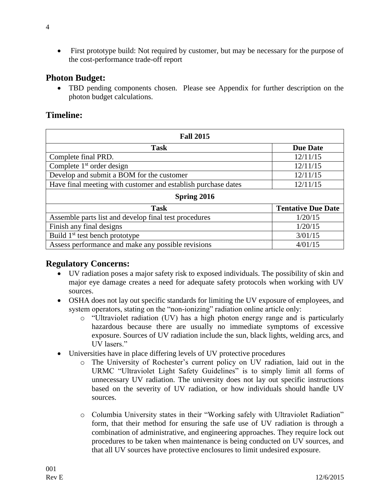• First prototype build: Not required by customer, but may be necessary for the purpose of the cost-performance trade-off report

#### **Photon Budget:**

 TBD pending components chosen. Please see Appendix for further description on the photon budget calculations.

### **Timeline:**

| <b>Fall 2015</b>                                              |                           |  |  |
|---------------------------------------------------------------|---------------------------|--|--|
| <b>Task</b>                                                   | <b>Due Date</b>           |  |  |
| Complete final PRD.                                           | 12/11/15                  |  |  |
| Complete $1st$ order design                                   | 12/11/15                  |  |  |
| Develop and submit a BOM for the customer                     | 12/11/15                  |  |  |
| Have final meeting with customer and establish purchase dates | 12/11/15                  |  |  |
| Spring 2016                                                   |                           |  |  |
| <b>Task</b>                                                   | <b>Tentative Due Date</b> |  |  |
| Assemble parts list and develop final test procedures         | 1/20/15                   |  |  |
| Finish any final designs                                      | 1/20/15                   |  |  |
| Build 1 <sup>st</sup> test bench prototype                    | 3/01/15                   |  |  |
| Assess performance and make any possible revisions            | 4/01/15                   |  |  |

#### **Regulatory Concerns:**

- UV radiation poses a major safety risk to exposed individuals. The possibility of skin and major eye damage creates a need for adequate safety protocols when working with UV sources.
- OSHA does not lay out specific standards for limiting the UV exposure of employees, and system operators, stating on the "non-ionizing" radiation online article only:
	- o "Ultraviolet radiation (UV) has a high photon energy range and is particularly hazardous because there are usually no immediate symptoms of excessive exposure. Sources of UV radiation include the sun, black lights, welding arcs, and UV lasers."
- Universities have in place differing levels of UV protective procedures
	- o The University of Rochester's current policy on UV radiation, laid out in the URMC "Ultraviolet Light Safety Guidelines" is to simply limit all forms of unnecessary UV radiation. The university does not lay out specific instructions based on the severity of UV radiation, or how individuals should handle UV sources.
	- o Columbia University states in their "Working safely with Ultraviolet Radiation" form, that their method for ensuring the safe use of UV radiation is through a combination of administrative, and engineering approaches. They require lock out procedures to be taken when maintenance is being conducted on UV sources, and that all UV sources have protective enclosures to limit undesired exposure.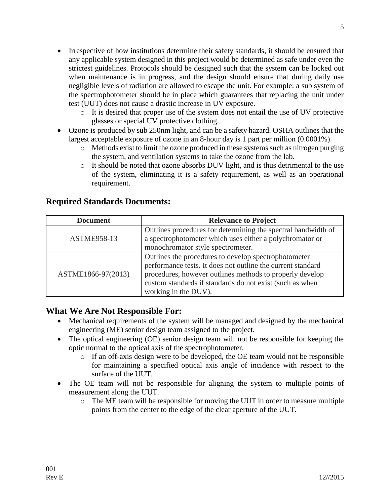- Irrespective of how institutions determine their safety standards, it should be ensured that any applicable system designed in this project would be determined as safe under even the strictest guidelines. Protocols should be designed such that the system can be locked out when maintenance is in progress, and the design should ensure that during daily use negligible levels of radiation are allowed to escape the unit. For example: a sub system of the spectrophotometer should be in place which guarantees that replacing the unit under test (UUT) does not cause a drastic increase in UV exposure.
	- o It is desired that proper use of the system does not entail the use of UV protective glasses or special UV protective clothing.
- Ozone is produced by sub 250nm light, and can be a safety hazard. OSHA outlines that the largest acceptable exposure of ozone in an 8-hour day is 1 part per million (0.0001%).
	- o Methods exist to limit the ozone produced in these systems such as nitrogen purging the system, and ventilation systems to take the ozone from the lab.
	- o It should be noted that ozone absorbs DUV light, and is thus detrimental to the use of the system, eliminating it is a safety requirement, as well as an operational requirement.

#### **Required Standards Documents:**

| <b>Document</b>    | <b>Relevance to Project</b>                                                                                                                                                                                                                                         |
|--------------------|---------------------------------------------------------------------------------------------------------------------------------------------------------------------------------------------------------------------------------------------------------------------|
| <b>ASTME958-13</b> | Outlines procedures for determining the spectral bandwidth of<br>a spectrophotometer which uses either a polychromator or<br>monochromator style spectrometer.                                                                                                      |
| ASTME1866-97(2013) | Outlines the procedures to develop spectrophotometer<br>performance tests. It does not outline the current standard<br>procedures, however outlines methods to properly develop<br>custom standards if standards do not exist (such as when<br>working in the DUV). |

#### **What We Are Not Responsible For:**

- Mechanical requirements of the system will be managed and designed by the mechanical engineering (ME) senior design team assigned to the project.
- The optical engineering (OE) senior design team will not be responsible for keeping the optic normal to the optical axis of the spectrophotometer.
	- o If an off-axis design were to be developed, the OE team would not be responsible for maintaining a specified optical axis angle of incidence with respect to the surface of the UUT.
- The OE team will not be responsible for aligning the system to multiple points of measurement along the UUT.
	- $\circ$  The ME team will be responsible for moving the UUT in order to measure multiple points from the center to the edge of the clear aperture of the UUT.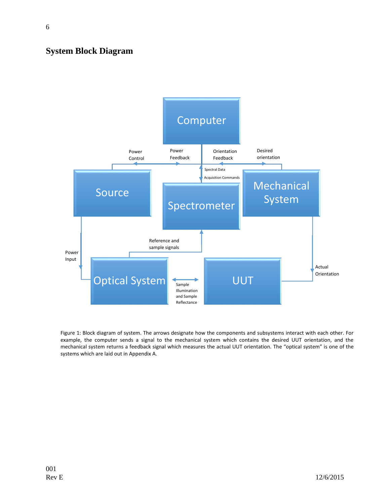#### **System Block Diagram**



Figure 1: Block diagram of system. The arrows designate how the components and subsystems interact with each other. For example, the computer sends a signal to the mechanical system which contains the desired UUT orientation, and the mechanical system returns a feedback signal which measures the actual UUT orientation. The "optical system" is one of the systems which are laid out in Appendix A.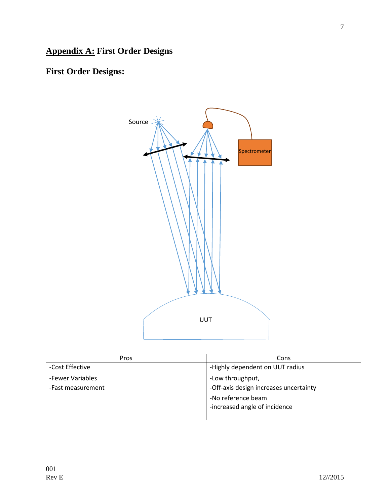# **Appendix A: First Order Designs**

# **First Order Designs:**



| Pros              | Cons                                   |
|-------------------|----------------------------------------|
| -Cost Effective   | -Highly dependent on UUT radius        |
| -Fewer Variables  | -Low throughput,                       |
| -Fast measurement | -Off-axis design increases uncertainty |
|                   | -No reference beam                     |
|                   | -increased angle of incidence          |
|                   |                                        |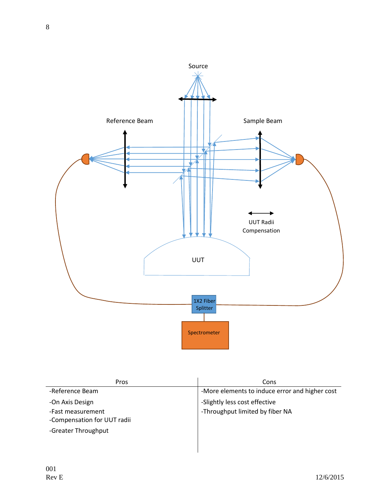

| <b>Pros</b>                 | Cons                                           |
|-----------------------------|------------------------------------------------|
| -Reference Beam             | -More elements to induce error and higher cost |
| -On Axis Design             | -Slightly less cost effective                  |
| -Fast measurement           | -Throughput limited by fiber NA                |
| -Compensation for UUT radii |                                                |
| -Greater Throughput         |                                                |
|                             |                                                |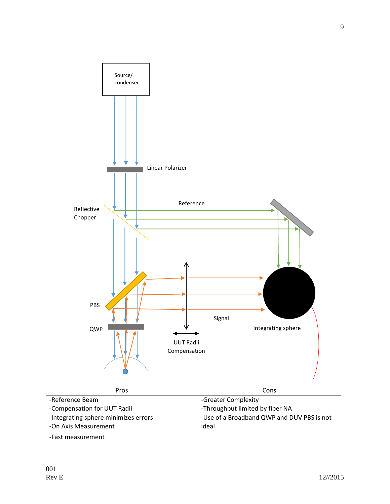